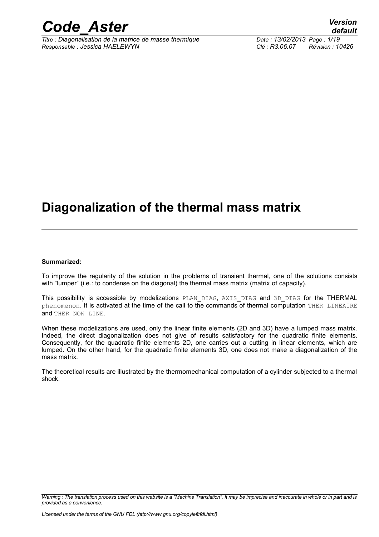

*Titre : Diagonalisation de la matrice de masse thermique Date : 13/02/2013 Page : 1/19 Responsable : Jessica HAELEWYN Clé : R3.06.07 Révision : 10426*

*default*

## **Diagonalization of the thermal mass matrix**

#### **Summarized:**

To improve the regularity of the solution in the problems of transient thermal, one of the solutions consists with "lumper" (i.e.: to condense on the diagonal) the thermal mass matrix (matrix of capacity).

This possibility is accessible by modelizations PLAN DIAG, AXIS DIAG and 3D DIAG for the THERMAL phenomenon. It is activated at the time of the call to the commands of thermal computation THER\_LINEAIRE and THER NON LINE.

When these modelizations are used, only the linear finite elements (2D and 3D) have a lumped mass matrix. Indeed, the direct diagonalization does not give of results satisfactory for the quadratic finite elements. Consequently, for the quadratic finite elements 2D, one carries out a cutting in linear elements, which are lumped. On the other hand, for the quadratic finite elements 3D, one does not make a diagonalization of the mass matrix.

The theoretical results are illustrated by the thermomechanical computation of a cylinder subjected to a thermal shock.

*Warning : The translation process used on this website is a "Machine Translation". It may be imprecise and inaccurate in whole or in part and is provided as a convenience.*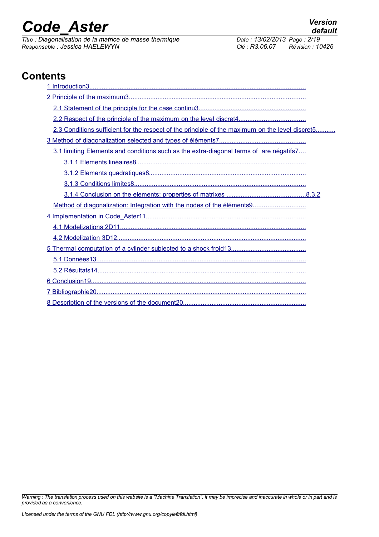*Titre : Diagonalisation de la matrice de masse thermique Responsable : Jessica HAELEWYN Clé : R3.06.07 Révision : 10426*

## **Contents**

| 2.3 Conditions sufficient for the respect of the principle of the maximum on the level discret5 |
|-------------------------------------------------------------------------------------------------|
|                                                                                                 |
| 3.1 limiting Elements and conditions such as the extra-diagonal terms of are négatifs7          |
|                                                                                                 |
|                                                                                                 |
|                                                                                                 |
|                                                                                                 |
| Method of diagonalization: Integration with the nodes of the éléments9                          |
|                                                                                                 |
|                                                                                                 |
|                                                                                                 |
|                                                                                                 |
|                                                                                                 |
|                                                                                                 |
|                                                                                                 |
|                                                                                                 |
|                                                                                                 |

*Warning : The translation process used on this website is a "Machine Translation". It may be imprecise and inaccurate in whole or in part and is provided as a convenience.*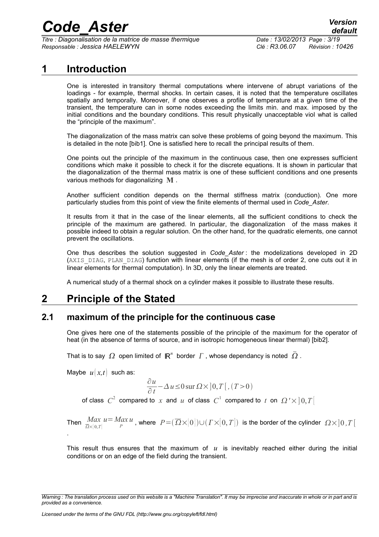*Titre : Diagonalisation de la matrice de masse thermique Date : 13/02/2013 Page : 3/19 Responsable : Jessica HAELEWYN Clé : R3.06.07 Révision : 10426*

### **1 Introduction**

<span id="page-2-0"></span>One is interested in transitory thermal computations where intervene of abrupt variations of the loadings - for example, thermal shocks. In certain cases, it is noted that the temperature oscillates spatially and temporally. Moreover, if one observes a profile of temperature at a given time of the transient, the temperature can in some nodes exceeding the limits min. and max. imposed by the initial conditions and the boundary conditions. This result physically unacceptable viol what is called the "principle of the maximum".

The diagonalization of the mass matrix can solve these problems of going beyond the maximum. This is detailed in the note [bib1]. One is satisfied here to recall the principal results of them.

One points out the principle of the maximum in the continuous case, then one expresses sufficient conditions which make it possible to check it for the discrete equations. It is shown in particular that the diagonalization of the thermal mass matrix is one of these sufficient conditions and one presents various methods for diagonalizing **M** .

Another sufficient condition depends on the thermal stiffness matrix (conduction). One more particularly studies from this point of view the finite elements of thermal used in *Code\_Aster*.

It results from it that in the case of the linear elements, all the sufficient conditions to check the principle of the maximum are gathered. In particular, the diagonalization of the mass makes it possible indeed to obtain a regular solution. On the other hand, for the quadratic elements, one cannot prevent the oscillations.

One thus describes the solution suggested in *Code\_Aster* : the modelizations developed in 2D (AXIS DIAG, PLAN DIAG) function with linear elements (if the mesh is of order 2, one cuts out it in linear elements for thermal computation). In 3D, only the linear elements are treated.

<span id="page-2-2"></span>A numerical study of a thermal shock on a cylinder makes it possible to illustrate these results.

### **2 Principle of the Stated**

### **2.1 maximum of the principle for the continuous case**

<span id="page-2-1"></span>One gives here one of the statements possible of the principle of the maximum for the operator of heat (in the absence of terms of source, and in isotropic homogeneous linear thermal) [bib2].

That is to say  $\,\varOmega\,$  open limited of  $\,\mathsf{I\!R}^n\,$  border  $\,\varGamma$  , whose dependancy is noted  $\,\bar{\varOmega}$  .

Maybe  $u(x,t)$  such as:

$$
\frac{\partial u}{\partial t} - \Delta u \le 0 \, \text{sur } \Omega \times ]0, T[ , (T>0)
$$

of class  $|C^2|$  compared to  $|x|$  and  $|u|$  of class  $|C^1|$  compared to  $|t|$  on  $|Q^2 \times ]0,T[$ 

Then 
$$
\frac{Max}{\overline{\Omega} \times [0,T]} u = \frac{Max}{P} u
$$
, where  $P = (\overline{\Omega} \times [0]) \cup (I \times [0,T])$  is the border of the cylinder  $\Omega \times ]0,T[$ .

This result thus ensures that the maximum of  $u$  is inevitably reached either during the initial conditions or on an edge of the field during the transient.

*Warning : The translation process used on this website is a "Machine Translation". It may be imprecise and inaccurate in whole or in part and is provided as a convenience.*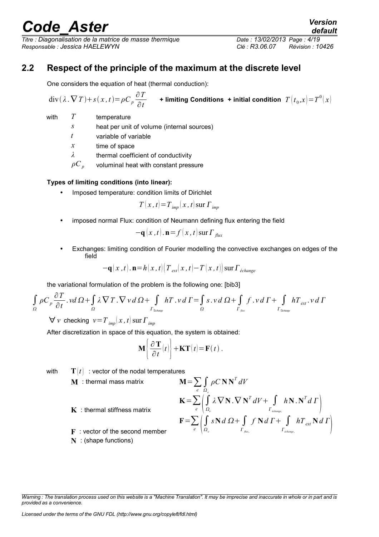*Titre : Diagonalisation de la matrice de masse thermique Date : 13/02/2013 Page : 4/19 Responsable : Jessica HAELEWYN Clé : R3.06.07 Révision : 10426*

### **2.2 Respect of the principle of the maximum at the discrete level**

<span id="page-3-0"></span>One considers the equation of heat (thermal conduction):

$$
\text{div}(\lambda \cdot \nabla T) + s(x, t) = \rho C_p \frac{\partial T}{\partial t} \qquad \text{+ limiting Conditions + initial condition } T(t_0, x) = T^0(x)
$$

- with *T* temperature
	- *s* heat per unit of volume (internal sources)
	- *t* variable of variable
	- *x* time of space

*λ* thermal coefficient of conductivity

 $\rho C_p$  voluminal heat with constant pressure

#### **Types of limiting conditions (into linear):**

Imposed temperature: condition limits of Dirichlet

$$
T(x, t) = T_{imp}(x, t) \, \text{sur } \, \Gamma_{imp}
$$

• imposed normal Flux: condition of Neumann defining flux entering the field

$$
-\mathbf{q}(x,t)\cdot\mathbf{n}=f(x,t)\,\mathrm{sur}\,\Gamma_{flux}
$$

• Exchanges: limiting condition of Fourier modelling the convective exchanges on edges of the field

$$
-\mathbf{q}(x,t)\cdot\mathbf{n}=h(x,t)\left(T_{ext}(x,t)-T(x,t)\right)\mathrm{sur}\,\Gamma_{\acute{e}change}
$$

the variational formulation of the problem is the following one: [bib3]

$$
\int_{\Omega} \rho C_p \frac{\partial T}{\partial t} \cdot v d\Omega + \int_{\Omega} \lambda \nabla T \cdot \nabla v d\Omega + \int_{\Gamma_{\text{likidange}} } hT \cdot v d\Gamma = \int_{\Omega} s \cdot v d\Omega + \int_{\Gamma_{\text{flat}} } f \cdot v d\Gamma + \int_{\Gamma_{\text{likidange}} } hT_{ext} \cdot v d\Gamma
$$

 $\forall v$  checking  $v = T$  *imp*  $(x, t)$  sur  $\Gamma$  *imp* 

After discretization in space of this equation, the system is obtained:

$$
\mathbf{M} \left\{ \frac{\partial \mathbf{T}}{\partial t}(t) \right\} + \mathbf{K} \mathbf{T}(t) = \mathbf{F}(t) .
$$

with  $\mathbf{T}(t)$ : vector of the nodal temperatures

**M** : thermal mass matrix

$$
\mathbf{M} = \sum_{e} \int_{\Omega_e} \rho C \mathbf{N} \mathbf{N}^T dV
$$

$$
\mathbf{K} = \sum_{e} \int_{\Omega} \lambda \nabla \mathbf{N} \cdot \nabla \mathbf{N}
$$

$$
\mathbf{K} = \sum_{e} \left( \int_{\Omega_e} \lambda \, \nabla \mathbf{N} \cdot \nabla \, \mathbf{N}^T \, dV + \int_{\Gamma_{\text{dephange},e}} h \mathbf{N} \cdot \mathbf{N}^T \, d \, \Gamma \right)
$$

$$
\mathbf{F} = \sum_{e} \left( \int_{\Omega_e} s \mathbf{N} \, d \, \Omega + \int_{\Gamma_{\text{char}} } f \mathbf{N} \, d \, \Gamma + \int_{\Gamma_{\text{dephange},e}} h \, T_{ext} \mathbf{N} \, d \, \Gamma \right)
$$

 $\begin{array}{c} \hline \end{array}$ 

 $\vert$ 

**K** : thermal stiffness matrix

- **F** : vector of the second member
- **N** : (shape functions)

*Warning : The translation process used on this website is a "Machine Translation". It may be imprecise and inaccurate in whole or in part and is provided as a convenience.*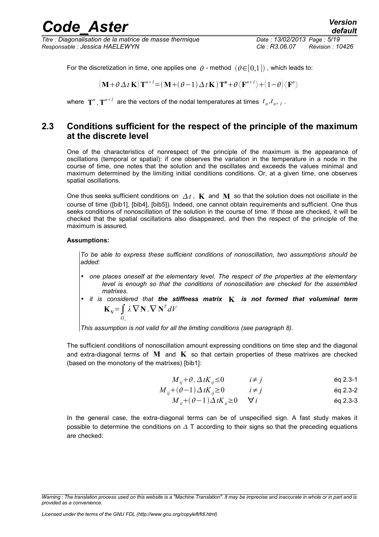*Titre : Diagonalisation de la matrice de masse thermique Date : 13/02/2013 Page : 5/19 Responsable : Jessica HAELEWYN Clé : R3.06.07 Révision : 10426*

For the discretization in time, one applies one  $\theta$  - method  $(\theta \in [0,1])$ , which leads to:

 $\left(\mathbf{M}+\theta\Delta t\mathbf{K}\right)\mathbf{T}^{n+1} = \left(\mathbf{M}+(\theta-1)\Delta t\mathbf{K}\right)\mathbf{T}^{\mathbf{n}}+\theta\langle\mathbf{F}^{n+1}\rangle + \left(1-\theta\right)\langle\mathbf{F}^{n}\rangle$ 

<span id="page-4-0"></span>where  $\mathbf{T}^n$  ,  $\mathbf{T}^{n+1}$  are the vectors of the nodal temperatures at times  $t_n, t_{n+1}$  .

### **2.3 Conditions sufficient for the respect of the principle of the maximum at the discrete level**

One of the characteristics of nonrespect of the principle of the maximum is the appearance of oscillations (temporal or spatial): if one observes the variation in the temperature in a node in the course of time, one notes that the solution and the oscillates and exceeds the values minimal and maximum determined by the limiting initial conditions conditions. Or, at a given time, one observes spatial oscillations.

One thus seeks sufficient conditions on  $\Delta t$ , **K** and **M** so that the solution does not oscillate in the course of time ([bib1], [bib4], [bib5]). Indeed, one cannot obtain requirements and sufficient. One thus seeks conditions of nonoscillation of the solution in the course of time. If those are checked, it will be checked that the spatial oscillations also disappeared, and then the respect of the principle of the maximum is assured.

#### **Assumptions:**

*To be able to express these sufficient conditions of nonoscillation, two assumptions should be added:*

- *one places oneself at the elementary level. The respect of the properties at the elementary level is enough so that the conditions of nonoscillation are checked for the assembled matrixes.*
- *it is considered that the stiffness matrix* **K** *is not formed that voluminal term*  $\mathbf{K}_\mathbf{V} = \int \lambda \nabla \mathbf{N} \cdot \nabla \mathbf{N}^T dV$  $\frac{v}{\Omega}$

*This assumption is not valid for all the limiting conditions (see paragraph [8\)](#page-7-1).* 

The sufficient conditions of nonoscillation amount expressing conditions on time step and the diagonal and extra-diagonal terms of **M** and **K** so that certain properties of these matrixes are checked (based on the monotony of the matrixes) [bib1]:

$$
M_{ij} + \theta \cdot \Delta t K_{ij} \le 0 \qquad i \ne j \qquad \qquad \text{eq 2.3-1}
$$

$$
M_{ij} + (\theta - 1) \Delta t K_{ij} \ge 0 \qquad i \ne j \qquad \qquad \text{Eq 2.3-2}
$$

$$
M_{ii} + (\theta - 1) \Delta t K_{ii} \ge 0 \qquad \forall i \qquad \text{Eq 2.3-3}
$$

In the general case, the extra-diagonal terms can be of unspecified sign. A fast study makes it possible to determine the conditions on  $\Delta$  T according to their signs so that the preceding equations are checked:

*Warning : The translation process used on this website is a "Machine Translation". It may be imprecise and inaccurate in whole or in part and is provided as a convenience.*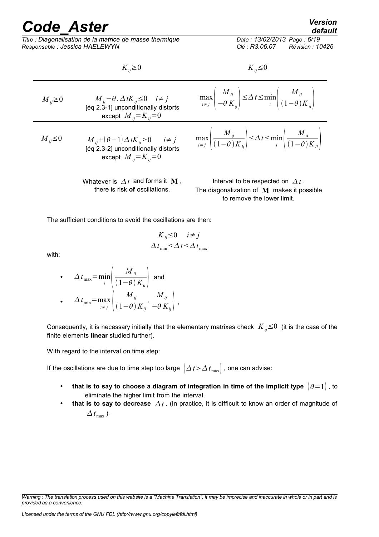*Titre : Diagonalisation de la matrice de masse thermique Date : 13/02/2013 Page : 6/19 Responsable : Jessica HAELEWYN Clé : R3.06.07 Révision : 10426*

*default*

 $K_{ii} \ge 0$  *K*<sub>ij</sub>≤0

*M i*<sub>i</sub> $\geq$  0 *M i*<sub>i</sub> $\neq$  *f*.  $\Delta$ *tK*<sub>*ij*</sub>≤0 *i* $\neq$  *j* [éq 2.3-1] unconditionally distorts except  $M_{ij} = K_{ij} = 0$ max  $\left| \begin{array}{c} \frac{1}{i} \\ i \neq j \end{array} \right|$  – *M ij*  $-\theta K_{ij}$ <sup>-</sup> ≤*t*≤min  $\prod_{i}$  ( *M ii*  $(1-\theta)K_{ii}$ *M*<sub>*ij*</sub> ≤0 *M*<sub>*ij*</sub>+ $(\theta-1)\Delta tK$ <sub>*ij*</sub>≥0 *i*≠ *j* [éq 2.3-2] unconditionally distorts except  $M_{ii} = K_{ii} = 0$ max  $\left| \begin{array}{c} \overline{i} & \neq j \end{array} \right|$  $M_{ij}$  $(1-\theta) K_{ij}$ <sup>-</sup> ≤*t*≤min  $\prod_{i}$  ( *M ii*  $(1-\theta)K_{ii}$ Whatever is  $\Delta t$  and forms it **M**, there is risk **of** oscillations. Interval to be respected on  $\Delta t$ . The diagonalization of **M** makes it possible to remove the lower limit.

The sufficient conditions to avoid the oscillations are then:

$$
K_{ij} \le 0 \quad i \ne j
$$
  

$$
\Delta t_{\min} \le \Delta t \le \Delta t_{\max}
$$

with:

• 
$$
\Delta t_{\text{max}} = \min_{i} \left( \frac{M_{ii}}{(1-\theta)K_{ii}} \right)
$$
 and  
\n•  $\Delta t_{\text{min}} = \max_{i \neq j} \left( \frac{M_{ij}}{(1-\theta)K_{ij}}, \frac{M_{ij}}{-\theta K_{ij}} \right)$ ,

Consequently, it is necessary initially that the elementary matrixes check  $K_{ii} \leq 0$  (it is the case of the finite elements **linear** studied further).

With regard to the interval on time step:

If the oscillations are due to time step too large  $\left(\Delta t > \Delta t_{\text{max}}\right)$ , one can advise:

- that is to say to choose a diagram of integration in time of the implicit type  $|0=1|$ , to eliminate the higher limit from the interval.
- **that is to say to decrease**  $\Delta t$ . (In practice, it is difficult to know an order of magnitude of  $\Delta t$ <sub>max</sub>).

*Warning : The translation process used on this website is a "Machine Translation". It may be imprecise and inaccurate in whole or in part and is provided as a convenience.*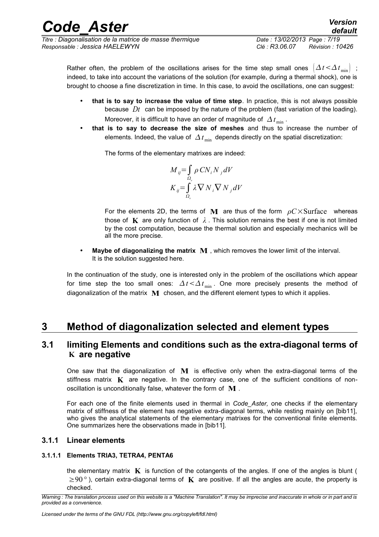*Titre : Diagonalisation de la matrice de masse thermique Date : 13/02/2013 Page : 7/19 Responsable : Jessica HAELEWYN Clé : R3.06.07 Révision : 10426*

Rather often, the problem of the oscillations arises for the time step small ones  $\left(\Delta t \leq \Delta t_{\min}\right)$ ; indeed, to take into account the variations of the solution (for example, during a thermal shock), one is brought to choose a fine discretization in time. In this case, to avoid the oscillations, one can suggest:

- **that is to say to increase the value of time step**. In practice, this is not always possible because *Dt* can be imposed by the nature of the problem (fast variation of the loading). Moreover, it is difficult to have an order of magnitude of  $\Delta t_{\text{min}}$ .
- **that is to say to decrease the size of meshes** and thus to increase the number of elements. Indeed, the value of  $\Delta t_{\text{min}}$  depends directly on the spatial discretization:

The forms of the elementary matrixes are indeed:

$$
M_{ij} = \int_{\Omega_e} \rho \, CN_i \, N_j \, dV
$$

$$
K_{ij} = \int_{\Omega_e} \lambda \, \nabla \, N_i \, \nabla \, N_j \, dV
$$

For the elements 2D, the terms of **M** are thus of the form *ρC*×Surface whereas those of  $\bf{K}$  are only function of  $\lambda$ . This solution remains the best if one is not limited by the cost computation, because the thermal solution and especially mechanics will be all the more precise.

• **Maybe of diagonalizing the matrix M** , which removes the lower limit of the interval. It is the solution suggested here.

In the continuation of the study, one is interested only in the problem of the oscillations which appear for time step the too small ones:  $\Delta t < \Delta t_{\text{min}}$ . One more precisely presents the method of diagonalization of the matrix **M** chosen, and the different element types to which it applies.

## <span id="page-6-2"></span>**3 Method of diagonalization selected and element types**

### <span id="page-6-1"></span>**3.1 limiting Elements and conditions such as the extra-diagonal terms of K are negative**

One saw that the diagonalization of **M** is effective only when the extra-diagonal terms of the stiffness matrix **K** are negative. In the contrary case, one of the sufficient conditions of nonoscillation is unconditionally false, whatever the form of **M** .

For each one of the finite elements used in thermal in *Code\_Aster,* one checks if the elementary matrix of stiffness of the element has negative extra-diagonal terms, while resting mainly on [bib11], who gives the analytical statements of the elementary matrixes for the conventional finite elements. One summarizes here the observations made in [bib11].

### <span id="page-6-0"></span>**3.1.1 Linear elements**

### **3.1.1.1 Elements TRIA3, TETRA4, PENTA6**

the elementary matrix  $\bf{K}$  is function of the cotangents of the angles. If one of the angles is blunt ( ≥90*°* ), certain extra-diagonal terms of **K** are positive. If all the angles are acute, the property is checked.

*Warning : The translation process used on this website is a "Machine Translation". It may be imprecise and inaccurate in whole or in part and is provided as a convenience.*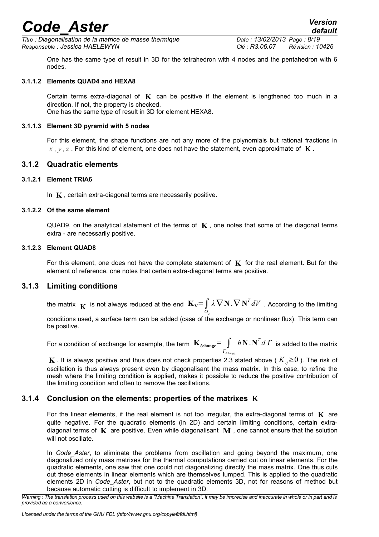*Titre : Diagonalisation de la matrice de masse thermique Date : 13/02/2013 Page : 8/19 Responsable : Jessica HAELEWYN Clé : R3.06.07 Révision : 10426*

*default*

One has the same type of result in 3D for the tetrahedron with 4 nodes and the pentahedron with 6 nodes.

#### **3.1.1.2 Elements QUAD4 and HEXA8**

Certain terms extra-diagonal of  $\bf{K}$  can be positive if the element is lengthened too much in a direction. If not, the property is checked. One has the same type of result in 3D for element HEXA8.

#### **3.1.1.3 Element 3D pyramid with 5 nodes**

<span id="page-7-2"></span>For this element, the shape functions are not any more of the polynomials but rational fractions in *x , y ,z* . For this kind of element, one does not have the statement, even approximate of **K** .

#### **3.1.2 Quadratic elements**

#### **3.1.2.1 Element TRIA6**

In **K** , certain extra-diagonal terms are necessarily positive.

#### **3.1.2.2 Of the same element**

QUAD9, on the analytical statement of the terms of  $\mathbf{K}$ , one notes that some of the diagonal terms extra - are necessarily positive.

#### **3.1.2.3 Element QUAD8**

For this element, one does not have the complete statement of **K** for the real element. But for the element of reference, one notes that certain extra-diagonal terms are positive.

#### **3.1.3 Limiting conditions**

<span id="page-7-1"></span>the matrix  $\mathbf{K}$  is not always reduced at the end  $\mathbf{K}_{\mathbf{V}} = \int\limits_{\Omega_e}$  $\lambda\,\nabla\,\mathbf{N}\!\cdot\!\nabla\,\mathbf{N}^T dV$  . According to the limiting

conditions used, a surface term can be added (case of the exchange or nonlinear flux). This term can be positive.

For a condition of exchange for example, the term  $\mathbf{K}_{\text{échange}}$ =  $\int$ *échange<sup>e</sup>*  $h\mathbf{N}$  .  $\mathbf{N}^T d$   $\mathbf{\Gamma}$  is added to the matrix

**K** . It is always positive and thus does not check properties 2.3 stated above ( $K_{ii} \ge 0$ ). The risk of oscillation is thus always present even by diagonalisant the mass matrix. In this case, to refine the mesh where the limiting condition is applied, makes it possible to reduce the positive contribution of the limiting condition and often to remove the oscillations.

#### **3.1.4 Conclusion on the elements: properties of the matrixes K**

<span id="page-7-0"></span>For the linear elements, if the real element is not too irregular, the extra-diagonal terms of  $\bf{K}$  are quite negative. For the quadratic elements (in 2D) and certain limiting conditions, certain extradiagonal terms of **K** are positive. Even while diagonalisant **M** , one cannot ensure that the solution will not oscillate.

In *Code Aster*, to eliminate the problems from oscillation and going beyond the maximum, one diagonalized only mass matrixes for the thermal computations carried out on linear elements. For the quadratic elements, one saw that one could not diagonalizing directly the mass matrix. One thus cuts out these elements in linear elements which are themselves lumped. This is applied to the quadratic elements 2D in *Code\_Aster*, but not to the quadratic elements 3D, not for reasons of method but because automatic cutting is difficult to implement in 3D.

*Warning : The translation process used on this website is a "Machine Translation". It may be imprecise and inaccurate in whole or in part and is provided as a convenience.*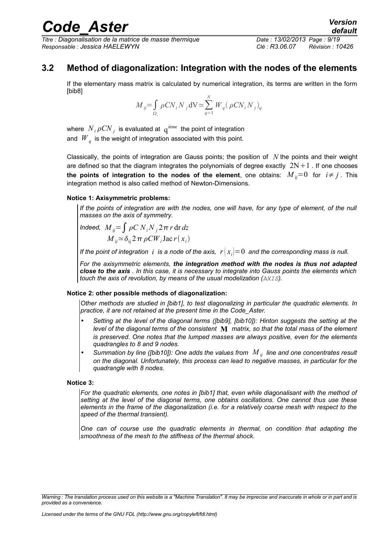*Titre : Diagonalisation de la matrice de masse thermique Date : 13/02/2013 Page : 9/19 Responsable : Jessica HAELEWYN Clé : R3.06.07 Révision : 10426*

### **3.2 Method of diagonalization: Integration with the nodes of the elements**

<span id="page-8-0"></span>If the elementary mass matrix is calculated by numerical integration, its terms are written in the form [bib8]

$$
M_{ij} = \int_{\Omega_c} \rho C N_i N_j \, dV \simeq \sum_{q=1}^N W_q \left( \rho C N_i N_j \right)_q
$$

where  $N_i \rho C N_j$  is evaluated at  $q^{i\text{eme}}$  the point of integration and  $\left| W_{\right\rangle_q}$  is the weight of integration associated with this point.

Classically, the points of integration are Gauss points; the position of *N* the points and their weight are defined so that the diagram integrates the polynomials of degree exactly  $2N+1$ . If one chooses **the points of integration to the nodes of the element**, one obtains:  $M_{ii}=0$  for  $i \neq j$ . This integration method is also called method of Newton-Dimensions.

#### **Notice 1: Axisymmetric problems:**

*If the points of integration are with the nodes, one will have, for any type of element, of the null masses on the axis of symmetry.*

*Indeed,*  $M_{ii} = \int \rho C N_i N_i 2 \pi r \, dr \, dz$  $M_{ij}$ ≃δ<sub>ij</sub> 2 π ρCW<sub>*i*</sub></sub> Jac r(x<sub>i</sub>)

*If the point of integration ii is a node of the axis,*  $r(x_i)=0$  *and the corresponding mass is null.* 

*For the axisymmetric elements, the integration method with the nodes is thus not adapted close to the axis . In this case, it is necessary to integrate into Gauss points the elements which touch the axis of revolution, by means of the usual modelization (AXIS).*

#### **Notice 2: other possible methods of diagonalization:**

*Other methods are studied in [bib1], to test diagonalizing in particular the quadratic elements. In practice, it are not retained at the present time in the Code\_Aster.* 

- *Setting at the level of the diagonal terms ([bib9], [bib10]): Hinton suggests the setting at the level of the diagonal terms of the consistent* **M** *matrix, so that the total mass of the element is preserved. One notes that the lumped masses are always positive, even for the elements quadrangles to 8 and 9 nodes.*
- *Summation by line ([bib10]): One adds the values from M ij line and one concentrates result on the diagonal. Unfortunately, this process can lead to negative masses, in particular for the quadrangle with 8 nodes.*

#### **Notice 3:**

*For the quadratic elements, one notes in [bib1] that, even while diagonalisant with the method of setting at the level of the diagonal terms, one obtains oscillations. One cannot thus use these elements in the frame of the diagonalization (i.e. for a relatively coarse mesh with respect to the speed of the thermal transient).*

*One can of course use the quadratic elements in thermal, on condition that adapting the smoothness of the mesh to the stiffness of the thermal shock.*

*Warning : The translation process used on this website is a "Machine Translation". It may be imprecise and inaccurate in whole or in part and is provided as a convenience.*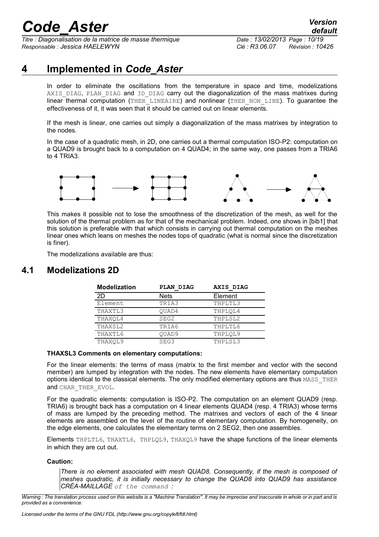*Titre : Diagonalisation de la matrice de masse thermique Date : 13/02/2013 Page : 10/19 Responsable : Jessica HAELEWYN Clé : R3.06.07 Révision : 10426*

## **4 Implemented in** *Code\_Aster*

<span id="page-9-1"></span>In order to eliminate the oscillations from the temperature in space and time, modelizations AXIS DIAG, PLAN DIAG and 3D DIAG carry out the diagonalization of the mass matrixes during linear thermal computation (THER LINEAIRE) and nonlinear (THER\_NON\_LINE). To guarantee the effectiveness of it, it was seen that it should be carried out on linear elements.

If the mesh is linear, one carries out simply a diagonalization of the mass matrixes by integration to the nodes.

In the case of a quadratic mesh, in 2D, one carries out a thermal computation ISO-P2: computation on a QUAD9 is brought back to a computation on 4 QUAD4; in the same way, one passes from a TRIA6 to 4 TRIA3.



This makes it possible not to lose the smoothness of the discretization of the mesh, as well for the solution of the thermal problem as for that of the mechanical problem. Indeed, one shows in [bib1] that this solution is preferable with that which consists in carrying out thermal computation on the meshes linear ones which leans on meshes the nodes tops of quadratic (what is normal since the discretization is finer).

<span id="page-9-0"></span>The modelizations available are thus:

### **4.1 Modelizations 2D**

| <b>Modelization</b> | <b>PLAN DIAG</b> | <b>AXIS DIAG</b> |
|---------------------|------------------|------------------|
| 2D                  | <b>Nets</b>      | Element          |
| Element             | TRIA3            | THPLTL3          |
| THAXTL3             | OUAD4            | THPLOL4          |
| THAXOL4             | SEG2             | THPLSL2          |
| THAXSL2             | TRIA6            | THPLTL6          |
| THAXTL6             | OUAD9            | THPLOL9          |
| THAXOL9             | SEG3             | THPLSL3          |

#### **THAXSL3 Comments on elementary computations:**

For the linear elements: the terms of mass (matrix to the first member and vector with the second member) are lumped by integration with the nodes. The new elements have elementary computation options identical to the classical elements. The only modified elementary options are thus MASS\_THER and CHAR\_THER\_EVOL.

For the quadratic elements: computation is ISO-P2. The computation on an element QUAD9 (resp. TRIA6) is brought back has a computation on 4 linear elements QUAD4 (resp. 4 TRIA3) whose terms of mass are lumped by the preceding method. The matrixes and vectors of each of the 4 linear elements are assembled on the level of the routine of elementary computation. By homogeneity, on the edge elements, one calculates the elementary terms on 2 SEG2, then one assembles.

Elements THPLTL6, THAXTL6, THPLQL9, THAXQL9 have the shape functions of the linear elements in which they are cut out.

#### **Caution:**

*There is no element associated with mesh QUAD8. Consequently, if the mesh is composed of meshes quadratic, it is initially necessary to change the QUAD8 into QUAD9 has assistance CRÉA-MAILLAGE of the command :*

*Warning : The translation process used on this website is a "Machine Translation". It may be imprecise and inaccurate in whole or in part and is provided as a convenience.*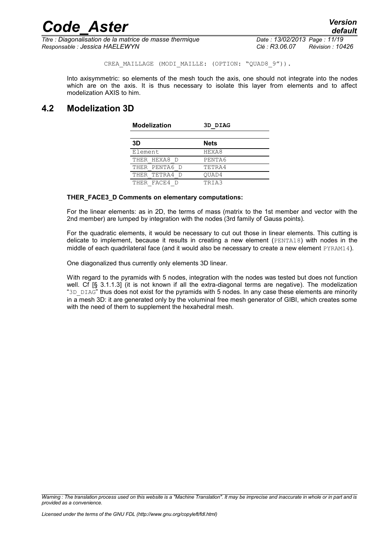CREA MAILLAGE (MODI MAILLE: (OPTION: "QUAD8 9")).

Into axisymmetric: so elements of the mesh touch the axis, one should not integrate into the nodes which are on the axis. It is thus necessary to isolate this layer from elements and to affect modelization AXIS to him.

### <span id="page-10-0"></span>**4.2 Modelization 3D**

| <b>Modelization</b> | 3D DIAG     |
|---------------------|-------------|
| 3D                  | <b>Nets</b> |
| Element             | HEXA8       |
| THER HEXA8 D        | PENTA6      |
| THER PENTA6 D       | TETRA4      |
| THER TETRA4 D       | OUAD4       |
| THER FACE4 D        | TRIA3       |

#### **THER\_FACE3\_D Comments on elementary computations:**

For the linear elements: as in 2D, the terms of mass (matrix to the 1st member and vector with the 2nd member) are lumped by integration with the nodes (3rd family of Gauss points).

For the quadratic elements, it would be necessary to cut out those in linear elements. This cutting is delicate to implement, because it results in creating a new element (PENTA18) with nodes in the middle of each quadrilateral face (and it would also be necessary to create a new element PYRAM14).

One diagonalized thus currently only elements 3D linear.

With regard to the pyramids with 5 nodes, integration with the nodes was tested but does not function well. Cf [§ 3.1.1.3] (it is not known if all the extra-diagonal terms are negative). The modelization "3D  $DIAG''$  thus does not exist for the pyramids with 5 nodes. In any case these elements are minority in a mesh 3D: it are generated only by the voluminal free mesh generator of GIBI, which creates some with the need of them to supplement the hexahedral mesh.

*Warning : The translation process used on this website is a "Machine Translation". It may be imprecise and inaccurate in whole or in part and is provided as a convenience.*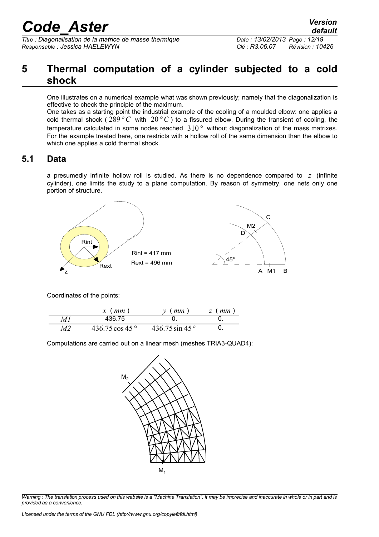*Titre : Diagonalisation de la matrice de masse thermique Date : 13/02/2013 Page : 12/19 Responsable : Jessica HAELEWYN Clé : R3.06.07 Révision : 10426*

### <span id="page-11-1"></span>**5 Thermal computation of a cylinder subjected to a cold shock**

One illustrates on a numerical example what was shown previously; namely that the diagonalization is effective to check the principle of the maximum.

One takes as a starting point the industrial example of the cooling of a moulded elbow: one applies a cold thermal shock ( $289 °C$  with  $20 °C$ ) to a fissured elbow. During the transient of cooling, the temperature calculated in some nodes reached 310*°* without diagonalization of the mass matrixes. For the example treated here, one restricts with a hollow roll of the same dimension than the elbow to which one applies a cold thermal shock.

### **5.1 Data**

<span id="page-11-0"></span>a presumedly infinite hollow roll is studied. As there is no dependence compared to *z* (infinite cylinder), one limits the study to a plane computation. By reason of symmetry, one nets only one portion of structure.



Coordinates of the points:

|    | $x \ (mm)$               | mm                       | $z$ (mm |
|----|--------------------------|--------------------------|---------|
| MІ | 436.75                   |                          |         |
| M2 | 436.75 cos 45 $^{\circ}$ | 436.75 sin 45 $^{\circ}$ |         |

Computations are carried out on a linear mesh (meshes TRIA3-QUAD4):



*Warning : The translation process used on this website is a "Machine Translation". It may be imprecise and inaccurate in whole or in part and is provided as a convenience.*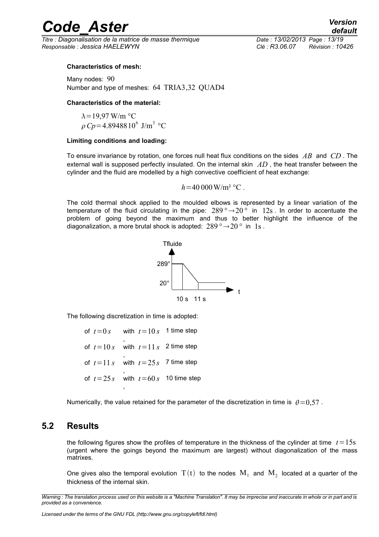*Titre : Diagonalisation de la matrice de masse thermique Date : 13/02/2013 Page : 13/19 Responsable : Jessica HAELEWYN Clé : R3.06.07 Révision : 10426*

#### **Characteristics of mesh:**

Many nodes: 90 Number and type of meshes: 64 TRIA3,32 QUAD4

#### **Characteristics of the material:**

 $\lambda$  = 19.97 W/m °C  $\rho Cp = 4.8948810^6$  J/m<sup>3</sup> °C

#### **Limiting conditions and loading:**

To ensure invariance by rotation, one forces null heat flux conditions on the sides *AB* and *CD* . The external wall is supposed perfectly insulated. On the internal skin *AD* , the heat transfer between the cylinder and the fluid are modelled by a high convective coefficient of heat exchange:

$$
h = 40\,000 \,\mathrm{W/m^2} \,^{\circ}\mathrm{C}
$$
.

The cold thermal shock applied to the moulded elbows is represented by a linear variation of the temperature of the fluid circulating in the pipe:  $289^\circ \rightarrow 20^\circ$  in 12s. In order to accentuate the problem of going beyond the maximum and thus to better highlight the influence of the diagonalization, a more brutal shock is adopted:  $289^\circ \rightarrow 20^\circ$  in 1s.



The following discretization in time is adopted:

of  $t=0 s$  with  $t=10 s$  1 time step , of  $t=10 s$  with  $t=11 s$  2 time step , of  $t=11 s$  with  $t=25 s$  7 time step , of  $t = 25s$  with  $t = 60s$  10 time step ,

Numerically, the value retained for the parameter of the discretization in time is  $\theta = 0.57$ .

### **5.2 Results**

<span id="page-12-0"></span>the following figures show the profiles of temperature in the thickness of the cylinder at time  $t=15s$ (urgent where the goings beyond the maximum are largest) without diagonalization of the mass matrixes.

One gives also the temporal evolution  $\rm\,T(t)$  to the nodes  $\rm\,M_{1}$  and  $\rm\,M_{2}$  located at a quarter of the thickness of the internal skin.

*Warning : The translation process used on this website is a "Machine Translation". It may be imprecise and inaccurate in whole or in part and is provided as a convenience.*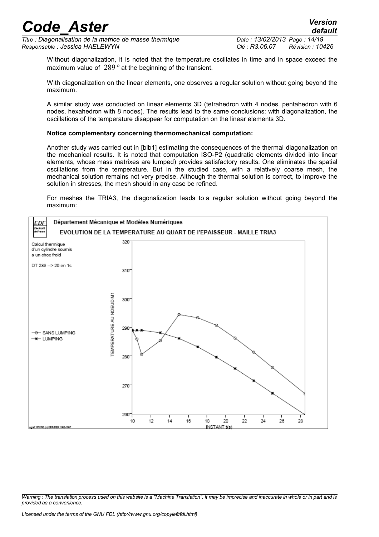*Titre : Diagonalisation de la matrice de masse thermique Date : 13/02/2013 Page : 14/19 Responsable : Jessica HAELEWYN Clé : R3.06.07 Révision : 10426*

*default*

Without diagonalization, it is noted that the temperature oscillates in time and in space exceed the maximum value of 289*°* at the beginning of the transient.

With diagonalization on the linear elements, one observes a regular solution without going beyond the maximum.

A similar study was conducted on linear elements 3D (tetrahedron with 4 nodes, pentahedron with 6 nodes, hexahedron with 8 nodes). The results lead to the same conclusions: with diagonalization, the oscillations of the temperature disappear for computation on the linear elements 3D.

#### **Notice complementary concerning thermomechanical computation:**

Another study was carried out in [bib1] estimating the consequences of the thermal diagonalization on the mechanical results. It is noted that computation ISO-P2 (quadratic elements divided into linear elements, whose mass matrixes are lumped) provides satisfactory results. One eliminates the spatial oscillations from the temperature. But in the studied case, with a relatively coarse mesh, the mechanical solution remains not very precise. Although the thermal solution is correct, to improve the solution in stresses, the mesh should in any case be refined.

For meshes the TRIA3, the diagonalization leads to a regular solution without going beyond the maximum:



*Warning : The translation process used on this website is a "Machine Translation". It may be imprecise and inaccurate in whole or in part and is provided as a convenience.*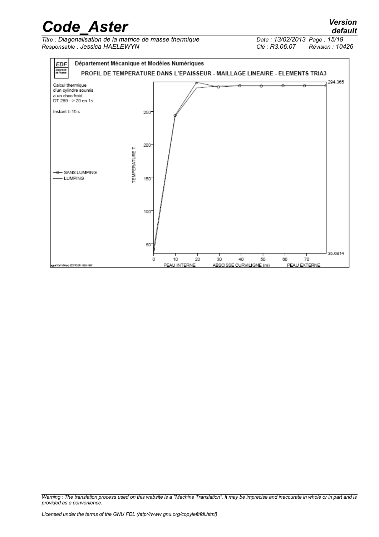*<u>Titre: Diagonalisation de la matrice de masse thermique*</u> *Responsable : Jessica HAELEWYN Clé : R3.06.07 Révision : 10426*



*Warning : The translation process used on this website is a "Machine Translation". It may be imprecise and inaccurate in whole or in part and is provided as a convenience.*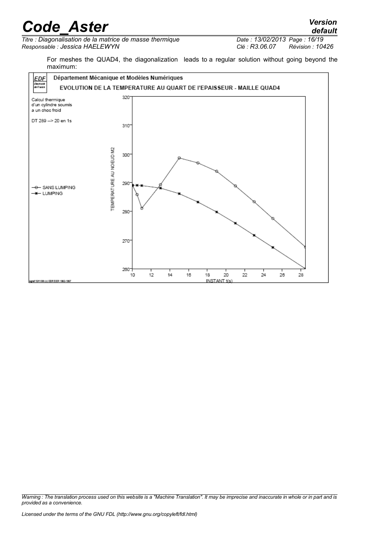*Titre : Diagonalisation de la matrice de masse thermique Date : 13/02/2013 Page : 16/19 Responsable : Jessica HAELEWYN Clé : R3.06.07 Révision : 10426*

*default*

For meshes the QUAD4, the diagonalization leads to a regular solution without going beyond the maximum:



*Warning : The translation process used on this website is a "Machine Translation". It may be imprecise and inaccurate in whole or in part and is provided as a convenience.*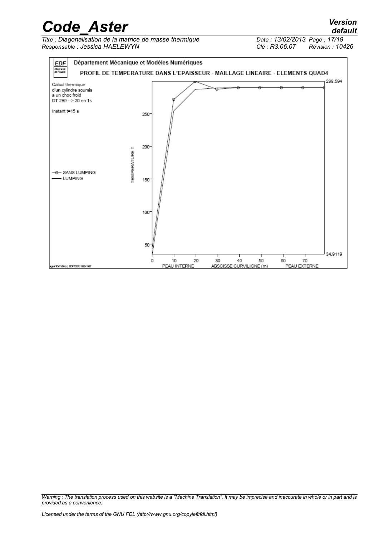*Titre : Diagonalisation de la matrice de masse thermique Responsable : Jessica HAELEWYN Clé : R3.06.07 Révision : 10426*



*Warning : The translation process used on this website is a "Machine Translation". It may be imprecise and inaccurate in whole or in part and is provided as a convenience.*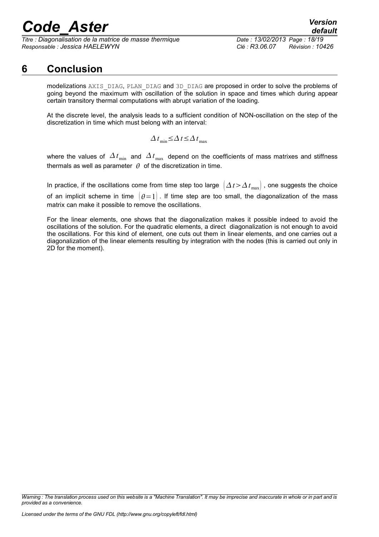*Titre : Diagonalisation de la matrice de masse thermique Date : 13/02/2013 Page : 18/19 Responsable : Jessica HAELEWYN Clé : R3.06.07 Révision : 10426*

### **6 Conclusion**

<span id="page-17-0"></span>modelizations AXIS\_DIAG, PLAN\_DIAG and 3D\_DIAG are proposed in order to solve the problems of going beyond the maximum with oscillation of the solution in space and times which during appear certain transitory thermal computations with abrupt variation of the loading.

At the discrete level, the analysis leads to a sufficient condition of NON-oscillation on the step of the discretization in time which must belong with an interval:

$$
\Delta t_{\min} \leq \Delta t \leq \Delta t_{\max}
$$

where the values of  $\Delta t_{\text{min}}$  and  $\Delta t_{\text{max}}$  depend on the coefficients of mass matrixes and stiffness thermals as well as parameter  $\theta$  of the discretization in time.

In practice, if the oscillations come from time step too large  $\left(\Delta t > \Delta t_{\text{max}}\right)$ , one suggests the choice of an implicit scheme in time  $(\theta = 1)$ . If time step are too small, the diagonalization of the mass matrix can make it possible to remove the oscillations.

For the linear elements, one shows that the diagonalization makes it possible indeed to avoid the oscillations of the solution. For the quadratic elements, a direct diagonalization is not enough to avoid the oscillations. For this kind of element, one cuts out them in linear elements, and one carries out a diagonalization of the linear elements resulting by integration with the nodes (this is carried out only in 2D for the moment).

*Warning : The translation process used on this website is a "Machine Translation". It may be imprecise and inaccurate in whole or in part and is provided as a convenience.*